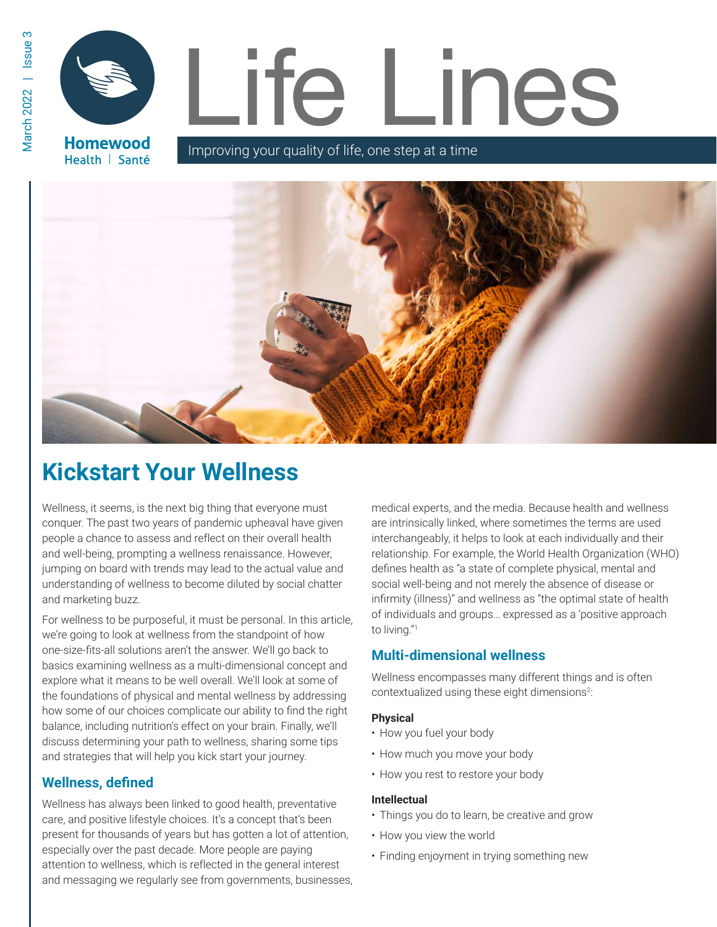Health | Santé

# Life Lines **Homewood**

Improving your quality of life, one step at a time



# **Kickstart Your Wellness**

Wellness, it seems, is the next big thing that everyone must conquer. The past two years of pandemic upheaval have given people a chance to assess and reflect on their overall health and well-being, prompting a wellness renaissance. However, jumping on board with trends may lead to the actual value and understanding of wellness to become diluted by social chatter and marketing buzz.

For wellness to be purposeful, it must be personal. In this article, we're going to look at wellness from the standpoint of how one-size-fits-all solutions aren't the answer. We'll go back to basics examining wellness as a multi-dimensional concept and explore what it means to be well overall. We'll look at some of the foundations of physical and mental wellness by addressing how some of our choices complicate our ability to find the right balance, including nutrition's effect on your brain. Finally, we'll discuss determining your path to wellness, sharing some tips and strategies that will help you kick start your journey.

# **Wellness, defined**

Wellness has always been linked to good health, preventative care, and positive lifestyle choices. It's a concept that's been present for thousands of years but has gotten a lot of attention, especially over the past decade. More people are paying attention to wellness, which is reflected in the general interest and messaging we regularly see from governments, businesses, medical experts, and the media. Because health and wellness are intrinsically linked, where sometimes the terms are used interchangeably, it helps to look at each individually and their relationship. For example, the World Health Organization (WHO) defines health as "a state of complete physical, mental and social well-being and not merely the absence of disease or infirmity (illness)" and wellness as "the optimal state of health of individuals and groups… expressed as a 'positive approach to living."<sup>1</sup>

# **Multi-dimensional wellness**

Wellness encompasses many different things and is often contextualized using these eight dimensions<sup>2</sup>:

# **Physical**

- How you fuel your body
- How much you move your body
- How you rest to restore your body

# **Intellectual**

- Things you do to learn, be creative and grow
- How you view the world
- Finding enjoyment in trying something new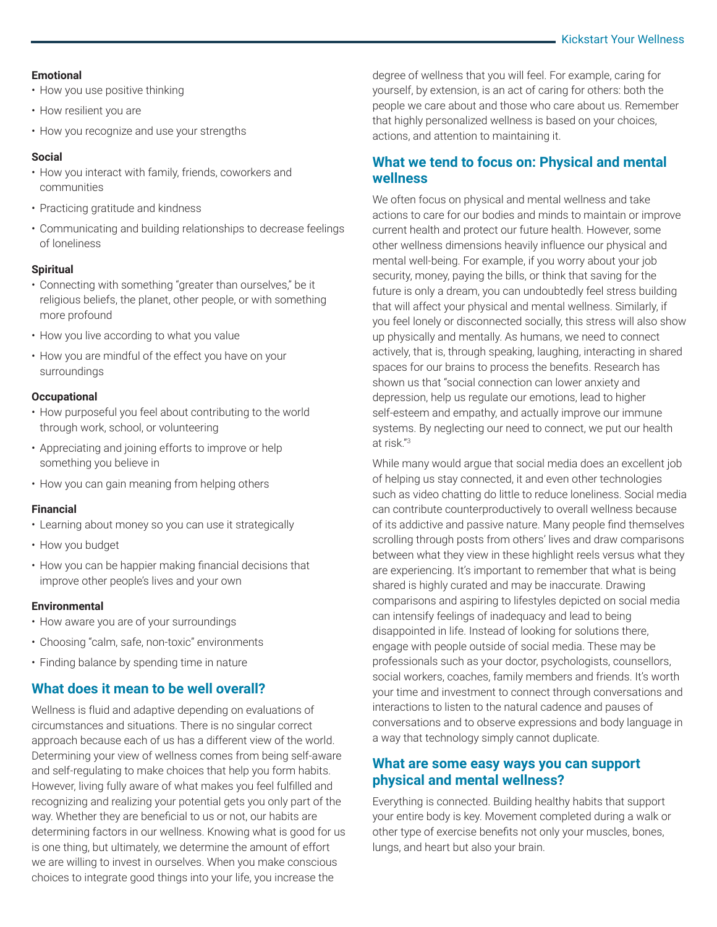#### **Emotional**

- How you use positive thinking
- How resilient you are
- How you recognize and use your strengths

# **Social**

- How you interact with family, friends, coworkers and communities
- Practicing gratitude and kindness
- Communicating and building relationships to decrease feelings of loneliness

# **Spiritual**

- Connecting with something "greater than ourselves," be it religious beliefs, the planet, other people, or with something more profound
- How you live according to what you value
- How you are mindful of the effect you have on your surroundings

# **Occupational**

- How purposeful you feel about contributing to the world through work, school, or volunteering
- Appreciating and joining efforts to improve or help something you believe in
- How you can gain meaning from helping others

# **Financial**

- Learning about money so you can use it strategically
- How you budget
- How you can be happier making financial decisions that improve other people's lives and your own

# **Environmental**

- How aware you are of your surroundings
- Choosing "calm, safe, non-toxic" environments
- Finding balance by spending time in nature

# **What does it mean to be well overall?**

Wellness is fluid and adaptive depending on evaluations of circumstances and situations. There is no singular correct approach because each of us has a different view of the world. Determining your view of wellness comes from being self-aware and self-regulating to make choices that help you form habits. However, living fully aware of what makes you feel fulfilled and recognizing and realizing your potential gets you only part of the way. Whether they are beneficial to us or not, our habits are determining factors in our wellness. Knowing what is good for us is one thing, but ultimately, we determine the amount of effort we are willing to invest in ourselves. When you make conscious choices to integrate good things into your life, you increase the

degree of wellness that you will feel. For example, caring for yourself, by extension, is an act of caring for others: both the people we care about and those who care about us. Remember that highly personalized wellness is based on your choices, actions, and attention to maintaining it.

# **What we tend to focus on: Physical and mental wellness**

We often focus on physical and mental wellness and take actions to care for our bodies and minds to maintain or improve current health and protect our future health. However, some other wellness dimensions heavily influence our physical and mental well-being. For example, if you worry about your job security, money, paying the bills, or think that saving for the future is only a dream, you can undoubtedly feel stress building that will affect your physical and mental wellness. Similarly, if you feel lonely or disconnected socially, this stress will also show up physically and mentally. As humans, we need to connect actively, that is, through speaking, laughing, interacting in shared spaces for our brains to process the benefits. Research has shown us that "social connection can lower anxiety and depression, help us regulate our emotions, lead to higher self-esteem and empathy, and actually improve our immune systems. By neglecting our need to connect, we put our health at risk."<sup>3</sup>

While many would argue that social media does an excellent job of helping us stay connected, it and even other technologies such as video chatting do little to reduce loneliness. Social media can contribute counterproductively to overall wellness because of its addictive and passive nature. Many people find themselves scrolling through posts from others' lives and draw comparisons between what they view in these highlight reels versus what they are experiencing. It's important to remember that what is being shared is highly curated and may be inaccurate. Drawing comparisons and aspiring to lifestyles depicted on social media can intensify feelings of inadequacy and lead to being disappointed in life. Instead of looking for solutions there, engage with people outside of social media. These may be professionals such as your doctor, psychologists, counsellors, social workers, coaches, family members and friends. It's worth your time and investment to connect through conversations and interactions to listen to the natural cadence and pauses of conversations and to observe expressions and body language in a way that technology simply cannot duplicate.

# **What are some easy ways you can support physical and mental wellness?**

Everything is connected. Building healthy habits that support your entire body is key. Movement completed during a walk or other type of exercise benefits not only your muscles, bones, lungs, and heart but also your brain.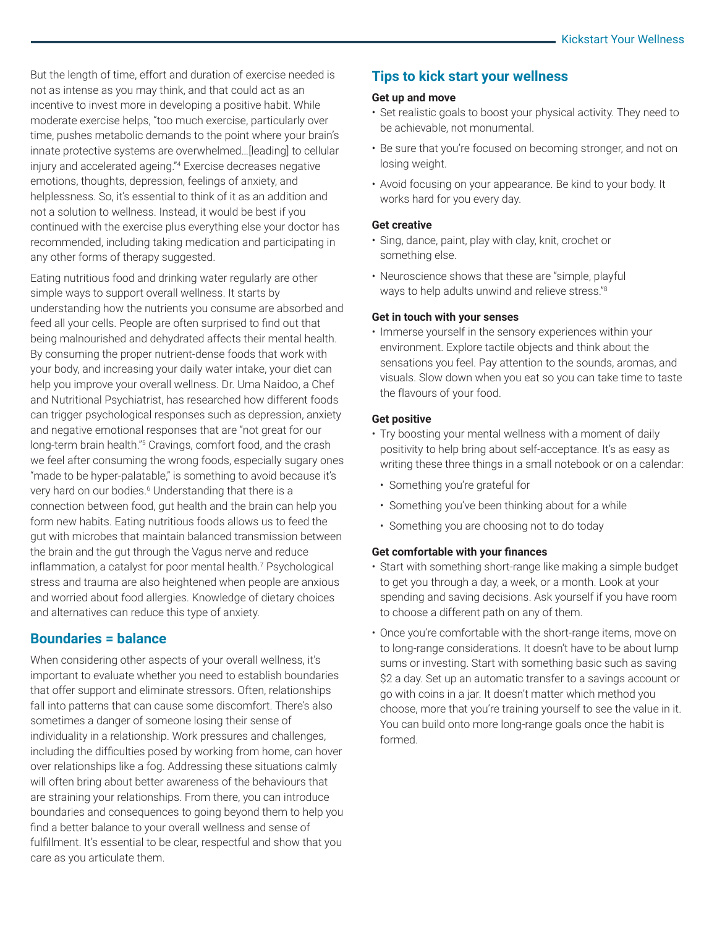But the length of time, effort and duration of exercise needed is not as intense as you may think, and that could act as an incentive to invest more in developing a positive habit. While moderate exercise helps, "too much exercise, particularly over time, pushes metabolic demands to the point where your brain's innate protective systems are overwhelmed…[leading] to cellular injury and accelerated ageing."<sup>4</sup> Exercise decreases negative emotions, thoughts, depression, feelings of anxiety, and helplessness. So, it's essential to think of it as an addition and not a solution to wellness. Instead, it would be best if you continued with the exercise plus everything else your doctor has recommended, including taking medication and participating in any other forms of therapy suggested.

Eating nutritious food and drinking water regularly are other simple ways to support overall wellness. It starts by understanding how the nutrients you consume are absorbed and feed all your cells. People are often surprised to find out that being malnourished and dehydrated affects their mental health. By consuming the proper nutrient-dense foods that work with your body, and increasing your daily water intake, your diet can help you improve your overall wellness. Dr. Uma Naidoo, a Chef and Nutritional Psychiatrist, has researched how different foods can trigger psychological responses such as depression, anxiety and negative emotional responses that are "not great for our long-term brain health."<sup>5</sup> Cravings, comfort food, and the crash we feel after consuming the wrong foods, especially sugary ones "made to be hyper-palatable," is something to avoid because it's very hard on our bodies.<sup>6</sup> Understanding that there is a connection between food, gut health and the brain can help you form new habits. Eating nutritious foods allows us to feed the gut with microbes that maintain balanced transmission between the brain and the gut through the Vagus nerve and reduce inflammation, a catalyst for poor mental health.<sup>7</sup> Psychological stress and trauma are also heightened when people are anxious and worried about food allergies. Knowledge of dietary choices and alternatives can reduce this type of anxiety.

# **Boundaries = balance**

When considering other aspects of your overall wellness, it's important to evaluate whether you need to establish boundaries that offer support and eliminate stressors. Often, relationships fall into patterns that can cause some discomfort. There's also sometimes a danger of someone losing their sense of individuality in a relationship. Work pressures and challenges, including the difficulties posed by working from home, can hover over relationships like a fog. Addressing these situations calmly will often bring about better awareness of the behaviours that are straining your relationships. From there, you can introduce boundaries and consequences to going beyond them to help you find a better balance to your overall wellness and sense of fulfillment. It's essential to be clear, respectful and show that you care as you articulate them.

# **Tips to kick start your wellness**

#### **Get up and move**

- Set realistic goals to boost your physical activity. They need to be achievable, not monumental.
- Be sure that you're focused on becoming stronger, and not on losing weight.
- Avoid focusing on your appearance. Be kind to your body. It works hard for you every day.

#### **Get creative**

- Sing, dance, paint, play with clay, knit, crochet or something else.
- Neuroscience shows that these are "simple, playful ways to help adults unwind and relieve stress."<sup>8</sup>

#### **Get in touch with your senses**

• Immerse yourself in the sensory experiences within your environment. Explore tactile objects and think about the sensations you feel. Pay attention to the sounds, aromas, and visuals. Slow down when you eat so you can take time to taste the flavours of your food.

#### **Get positive**

- Try boosting your mental wellness with a moment of daily positivity to help bring about self-acceptance. It's as easy as writing these three things in a small notebook or on a calendar:
	- Something you're grateful for
	- Something you've been thinking about for a while
- Something you are choosing not to do today

#### **Get comfortable with your finances**

- Start with something short-range like making a simple budget to get you through a day, a week, or a month. Look at your spending and saving decisions. Ask yourself if you have room to choose a different path on any of them.
- Once you're comfortable with the short-range items, move on to long-range considerations. It doesn't have to be about lump sums or investing. Start with something basic such as saving \$2 a day. Set up an automatic transfer to a savings account or go with coins in a jar. It doesn't matter which method you choose, more that you're training yourself to see the value in it. You can build onto more long-range goals once the habit is formed.